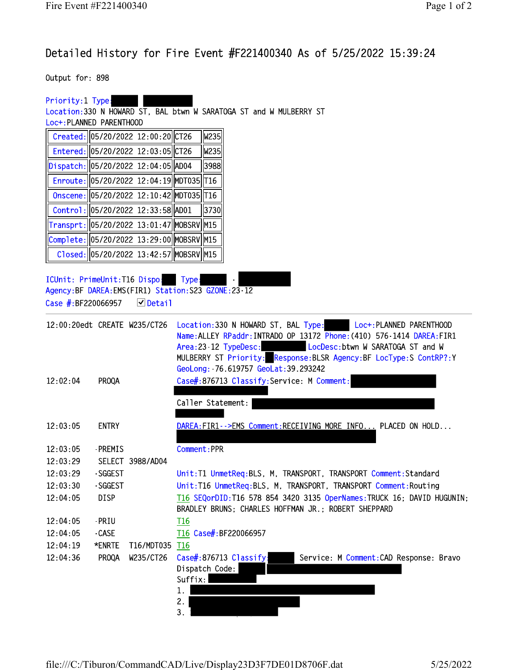## Detailed History for Fire Event #F221400340 As of 5/25/2022 15:39:24

Output for: 898

| Priority: 1 Type:             |              |                                               |                                                                         |
|-------------------------------|--------------|-----------------------------------------------|-------------------------------------------------------------------------|
|                               |              |                                               | Location: 330 N HOWARD ST, BAL btwn W SARATOGA ST and W MULBERRY ST     |
| Loc+: PLANNED PARENTHOOD      |              |                                               |                                                                         |
|                               |              | Created: 05/20/2022 12:00:20 Created:         | W235                                                                    |
|                               |              | Entered:   05/20/2022 12:03:05  CT26          | W235                                                                    |
|                               |              | Dispatch: 05/20/2022 12:04:05 AD04            | 3988                                                                    |
|                               |              | $Enroute:   05/20/2022 12:04:19  MDT035  T16$ |                                                                         |
|                               |              | $Onscene:   05/20/2022 12:10:42  MDT035  T16$ |                                                                         |
|                               |              | Control:   05/20/2022 12:33:58  AD01          | 3730                                                                    |
|                               |              | Transprt: 05/20/2022 13:01:47 MOBSRV M15      |                                                                         |
|                               |              | Complete: 05/20/2022 13:29:00 MOBSRV M15      |                                                                         |
|                               |              | Closed: 05/20/2022 13:42:57 MOBSRV M15        |                                                                         |
|                               |              |                                               |                                                                         |
| ICUnit: PrimeUnit: T16 Dispo: |              |                                               | Type:                                                                   |
|                               |              |                                               | Agency: BF DAREA: EMS (FIR1) Station: S23 GZONE: 23 12                  |
| Case $\#$ : BF220066957       |              | $\n  Deta1\n$                                 |                                                                         |
| 12:00:20edt CREATE W235/CT26  |              |                                               | Location: 330 N HOWARD ST, BAL Type:<br>Loc+: PLANNED PARENTHOOD        |
|                               |              |                                               | Name: ALLEY RPaddr: INTRADO OP 13172 Phone: (410) 576-1414 DAREA: FIR1  |
|                               |              |                                               | Area: 23 12 TypeDesc: LocDesc: btwn W SARATOGA ST and W                 |
|                               |              |                                               | MULBERRY ST Priority: Response: BLSR Agency: BF LocType: S ContRP?: Y   |
|                               |              |                                               | GeoLong: 76.619757 GeoLat: 39.293242                                    |
| 12:02:04                      | PROQA        |                                               | Case#:876713 Classify:Service: M Comment:                               |
|                               |              |                                               |                                                                         |
|                               |              |                                               | Caller Statement:                                                       |
|                               |              |                                               |                                                                         |
| 12:03:05                      | <b>ENTRY</b> |                                               | DAREA: FIR1 - - > EMS Comment: RECEIVING MORE INFO PLACED ON HOLD       |
| 12:03:05                      | - PREMIS     |                                               | Comment: PPR                                                            |
| 12:03:29                      |              | SELECT 3988/AD04                              |                                                                         |
| 12:03:29                      | -SGGEST      |                                               | Unit: T1 UnmetReq: BLS, M, TRANSPORT, TRANSPORT Comment: Standard       |
| 12:03:30                      | -SGGEST      |                                               | Unit: T16 UnmetReq: BLS, M, TRANSPORT, TRANSPORT Comment: Routing       |
| 12:04:05                      | <b>DISP</b>  |                                               | T16 SEQorDID: T16 578 854 3420 3135 OperNames: TRUCK 16; DAVID HUGUNIN; |
|                               |              |                                               | BRADLEY BRUNS; CHARLES HOFFMAN JR.; ROBERT SHEPPARD                     |
| 12:04:05                      | - PRIU       |                                               | T <sub>16</sub>                                                         |
| 12:04:05                      | -CASE        |                                               | T16 Case#:BF220066957                                                   |
| 12:04:19                      | *ENRTE       | T16/MDT035                                    | T <sub>16</sub>                                                         |
| 12:04:36                      | <b>PROQA</b> | W235/CT26                                     | Case#:876713 Classify<br>Service: M Comment: CAD Response: Bravo        |
|                               |              |                                               | Dispatch Code:                                                          |
|                               |              |                                               | Suffix:                                                                 |
|                               |              |                                               | 1.                                                                      |
|                               |              |                                               | 2.                                                                      |
|                               |              |                                               | 3.                                                                      |